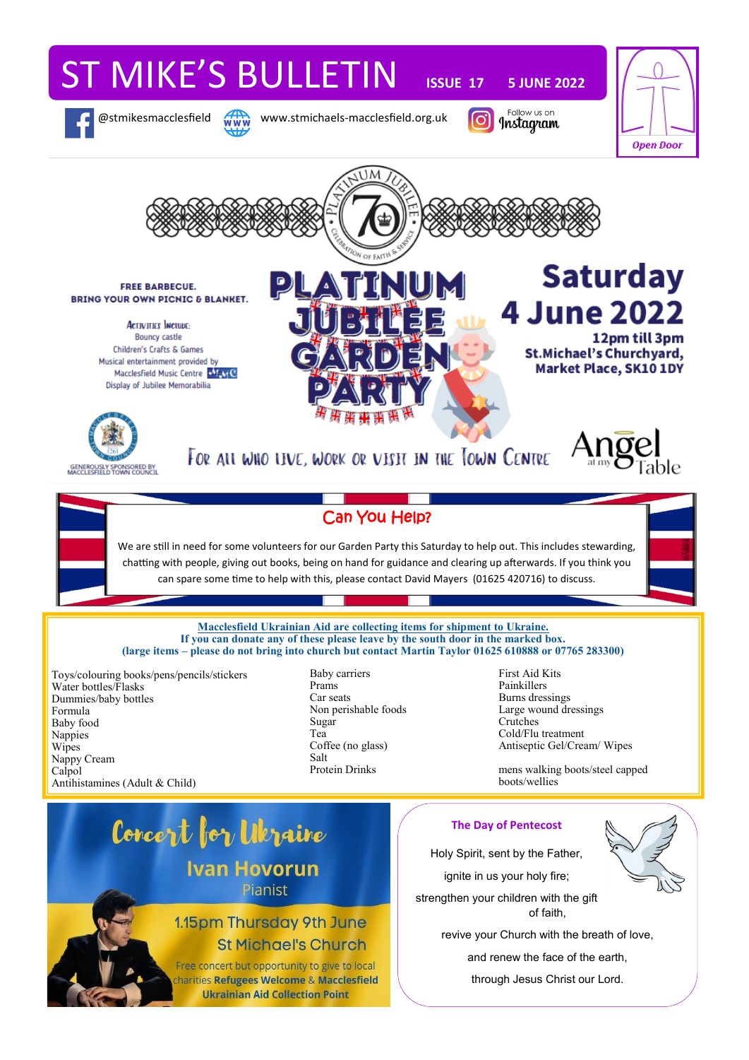# ST MIKE'S BULLETIN **ISSUE 17 5 JUNE 2022**

@stmikesmacclesfield www.stmichaels-macclesfield.org.uk

Follow us on





Free concert but opportunity to give to local charities Refugees Welcome & Macclesfield **Ukrainian Aid Collection Point** 

and renew the face of the earth,

through Jesus Christ our Lord.